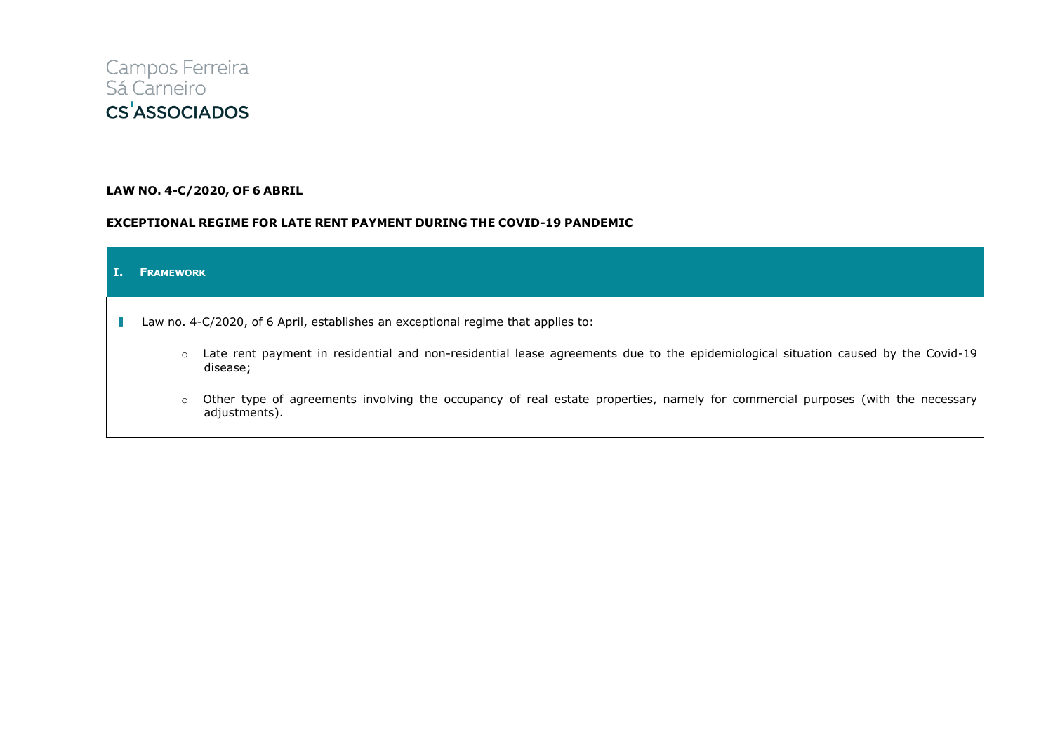

## **LAW NO. 4-C/2020, OF 6 ABRIL**

## **EXCEPTIONAL REGIME FOR LATE RENT PAYMENT DURING THE COVID-19 PANDEMIC**

| <b>FRAMEWORK</b>                                                                 |                                                                                                                                                 |
|----------------------------------------------------------------------------------|-------------------------------------------------------------------------------------------------------------------------------------------------|
| Law no. 4-C/2020, of 6 April, establishes an exceptional regime that applies to: |                                                                                                                                                 |
| $\circ$                                                                          | Late rent payment in residential and non-residential lease agreements due to the epidemiological situation caused by the Covid-19<br>disease;   |
| $\circ$                                                                          | Other type of agreements involving the occupancy of real estate properties, namely for commercial purposes (with the necessary<br>adjustments). |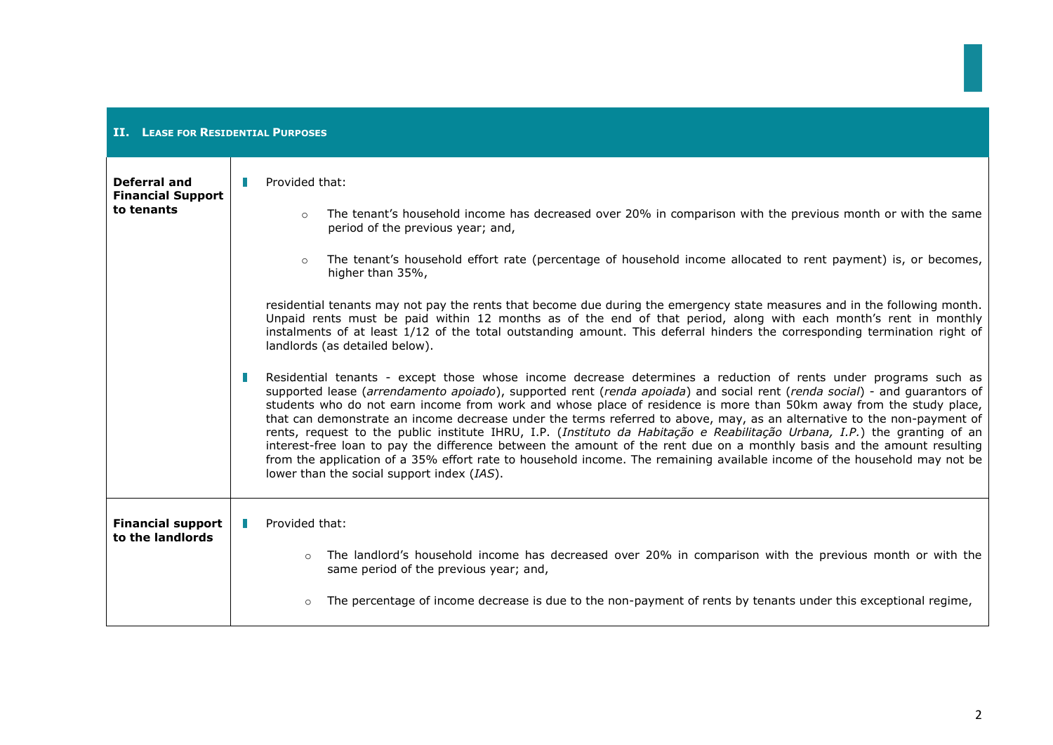| <b>II.</b> LEASE FOR RESIDENTIAL PURPOSES              |                                                                                                                                                                                                                                                                                                                                                                                                                                                                                                                                                                                                                                                                                                                                                                                                                                                                                                                                                                                                                                                                                                                                                                                                                                                                                                                                                                                                                                                                                                                                                                                                                                                                                     |  |
|--------------------------------------------------------|-------------------------------------------------------------------------------------------------------------------------------------------------------------------------------------------------------------------------------------------------------------------------------------------------------------------------------------------------------------------------------------------------------------------------------------------------------------------------------------------------------------------------------------------------------------------------------------------------------------------------------------------------------------------------------------------------------------------------------------------------------------------------------------------------------------------------------------------------------------------------------------------------------------------------------------------------------------------------------------------------------------------------------------------------------------------------------------------------------------------------------------------------------------------------------------------------------------------------------------------------------------------------------------------------------------------------------------------------------------------------------------------------------------------------------------------------------------------------------------------------------------------------------------------------------------------------------------------------------------------------------------------------------------------------------------|--|
| Deferral and<br><b>Financial Support</b><br>to tenants | Provided that:<br>The tenant's household income has decreased over 20% in comparison with the previous month or with the same<br>$\circ$<br>period of the previous year; and,<br>The tenant's household effort rate (percentage of household income allocated to rent payment) is, or becomes,<br>$\circ$<br>higher than 35%,<br>residential tenants may not pay the rents that become due during the emergency state measures and in the following month.<br>Unpaid rents must be paid within 12 months as of the end of that period, along with each month's rent in monthly<br>instalments of at least 1/12 of the total outstanding amount. This deferral hinders the corresponding termination right of<br>landlords (as detailed below).<br>Residential tenants - except those whose income decrease determines a reduction of rents under programs such as<br>supported lease (arrendamento apoiado), supported rent (renda apoiada) and social rent (renda social) - and guarantors of<br>students who do not earn income from work and whose place of residence is more than 50km away from the study place,<br>that can demonstrate an income decrease under the terms referred to above, may, as an alternative to the non-payment of<br>rents, request to the public institute IHRU, I.P. (Instituto da Habitação e Reabilitação Urbana, I.P.) the granting of an<br>interest-free loan to pay the difference between the amount of the rent due on a monthly basis and the amount resulting<br>from the application of a 35% effort rate to household income. The remaining available income of the household may not be<br>lower than the social support index (IAS). |  |
| <b>Financial support</b><br>to the landlords           | Provided that:<br>The landlord's household income has decreased over 20% in comparison with the previous month or with the<br>$\circ$<br>same period of the previous year; and,                                                                                                                                                                                                                                                                                                                                                                                                                                                                                                                                                                                                                                                                                                                                                                                                                                                                                                                                                                                                                                                                                                                                                                                                                                                                                                                                                                                                                                                                                                     |  |
|                                                        | The percentage of income decrease is due to the non-payment of rents by tenants under this exceptional regime,<br>$\circ$                                                                                                                                                                                                                                                                                                                                                                                                                                                                                                                                                                                                                                                                                                                                                                                                                                                                                                                                                                                                                                                                                                                                                                                                                                                                                                                                                                                                                                                                                                                                                           |  |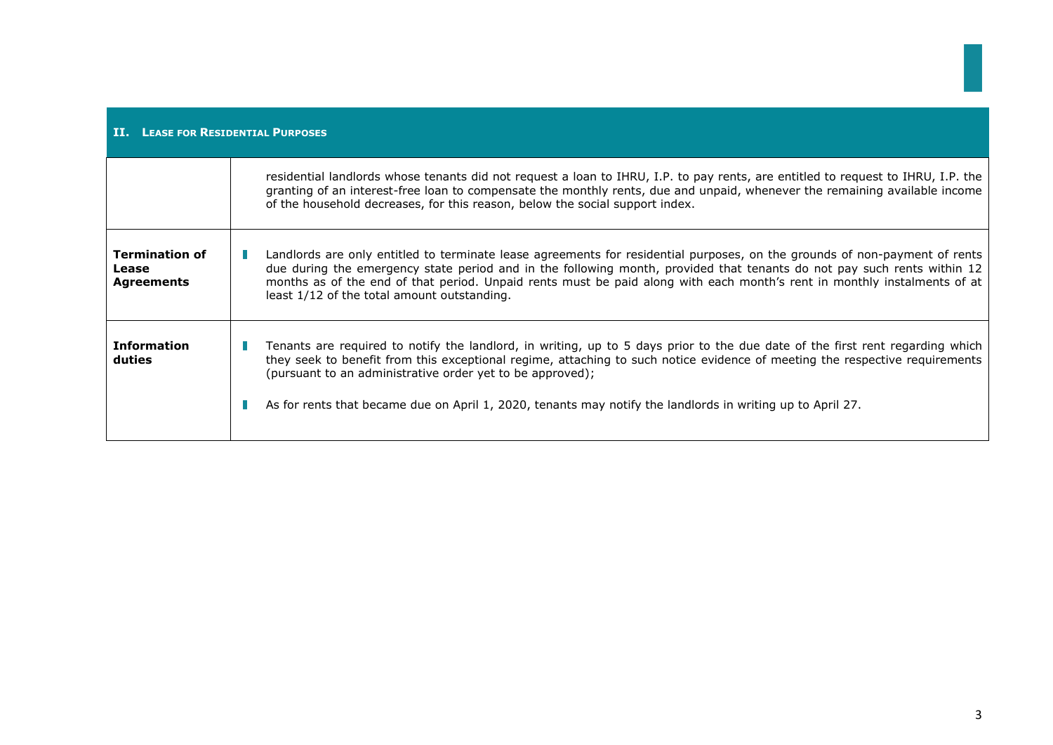| <b>II.</b> LEASE FOR RESIDENTIAL PURPOSES           |                                                                                                                                                                                                                                                                                                                                                                                                                                         |  |
|-----------------------------------------------------|-----------------------------------------------------------------------------------------------------------------------------------------------------------------------------------------------------------------------------------------------------------------------------------------------------------------------------------------------------------------------------------------------------------------------------------------|--|
|                                                     | residential landlords whose tenants did not request a loan to IHRU, I.P. to pay rents, are entitled to request to IHRU, I.P. the<br>granting of an interest-free loan to compensate the monthly rents, due and unpaid, whenever the remaining available income<br>of the household decreases, for this reason, below the social support index.                                                                                          |  |
| <b>Termination of</b><br>Lease<br><b>Agreements</b> | Landlords are only entitled to terminate lease agreements for residential purposes, on the grounds of non-payment of rents<br>due during the emergency state period and in the following month, provided that tenants do not pay such rents within 12<br>months as of the end of that period. Unpaid rents must be paid along with each month's rent in monthly instalments of at<br>least 1/12 of the total amount outstanding.        |  |
| <b>Information</b><br>duties                        | Tenants are required to notify the landlord, in writing, up to 5 days prior to the due date of the first rent regarding which<br>they seek to benefit from this exceptional regime, attaching to such notice evidence of meeting the respective requirements<br>(pursuant to an administrative order yet to be approved);<br>As for rents that became due on April 1, 2020, tenants may notify the landlords in writing up to April 27. |  |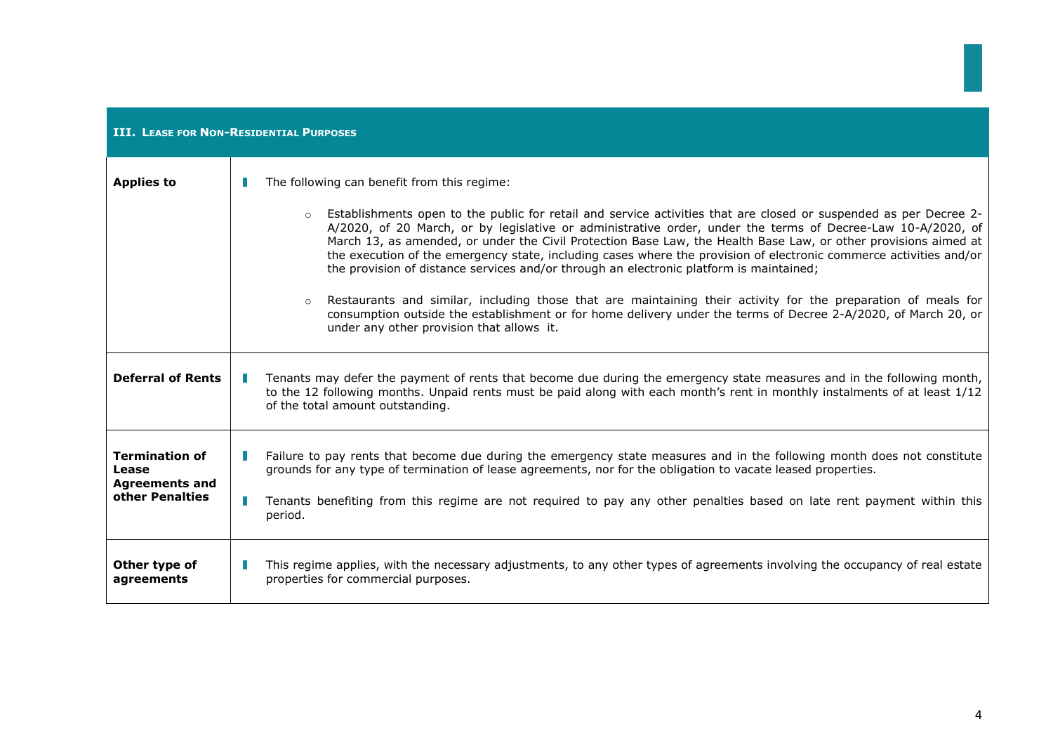| <b>III. LEASE FOR NON-RESIDENTIAL PURPOSES</b>          |                                                                                                                                                                                                                                                                                                                                                                                                                                                 |  |
|---------------------------------------------------------|-------------------------------------------------------------------------------------------------------------------------------------------------------------------------------------------------------------------------------------------------------------------------------------------------------------------------------------------------------------------------------------------------------------------------------------------------|--|
| <b>Applies to</b>                                       | The following can benefit from this regime:<br>Establishments open to the public for retail and service activities that are closed or suspended as per Decree 2-                                                                                                                                                                                                                                                                                |  |
|                                                         | A/2020, of 20 March, or by legislative or administrative order, under the terms of Decree-Law 10-A/2020, of<br>March 13, as amended, or under the Civil Protection Base Law, the Health Base Law, or other provisions aimed at<br>the execution of the emergency state, including cases where the provision of electronic commerce activities and/or<br>the provision of distance services and/or through an electronic platform is maintained; |  |
|                                                         | Restaurants and similar, including those that are maintaining their activity for the preparation of meals for<br>consumption outside the establishment or for home delivery under the terms of Decree 2-A/2020, of March 20, or<br>under any other provision that allows it.                                                                                                                                                                    |  |
| <b>Deferral of Rents</b>                                | Tenants may defer the payment of rents that become due during the emergency state measures and in the following month,<br>to the 12 following months. Unpaid rents must be paid along with each month's rent in monthly instalments of at least 1/12<br>of the total amount outstanding.                                                                                                                                                        |  |
| <b>Termination of</b><br>Lease<br><b>Agreements and</b> | Failure to pay rents that become due during the emergency state measures and in the following month does not constitute<br>grounds for any type of termination of lease agreements, nor for the obligation to vacate leased properties.                                                                                                                                                                                                         |  |
| other Penalties                                         | Tenants benefiting from this regime are not required to pay any other penalties based on late rent payment within this<br>period.                                                                                                                                                                                                                                                                                                               |  |
| Other type of<br>agreements                             | This regime applies, with the necessary adjustments, to any other types of agreements involving the occupancy of real estate<br>properties for commercial purposes.                                                                                                                                                                                                                                                                             |  |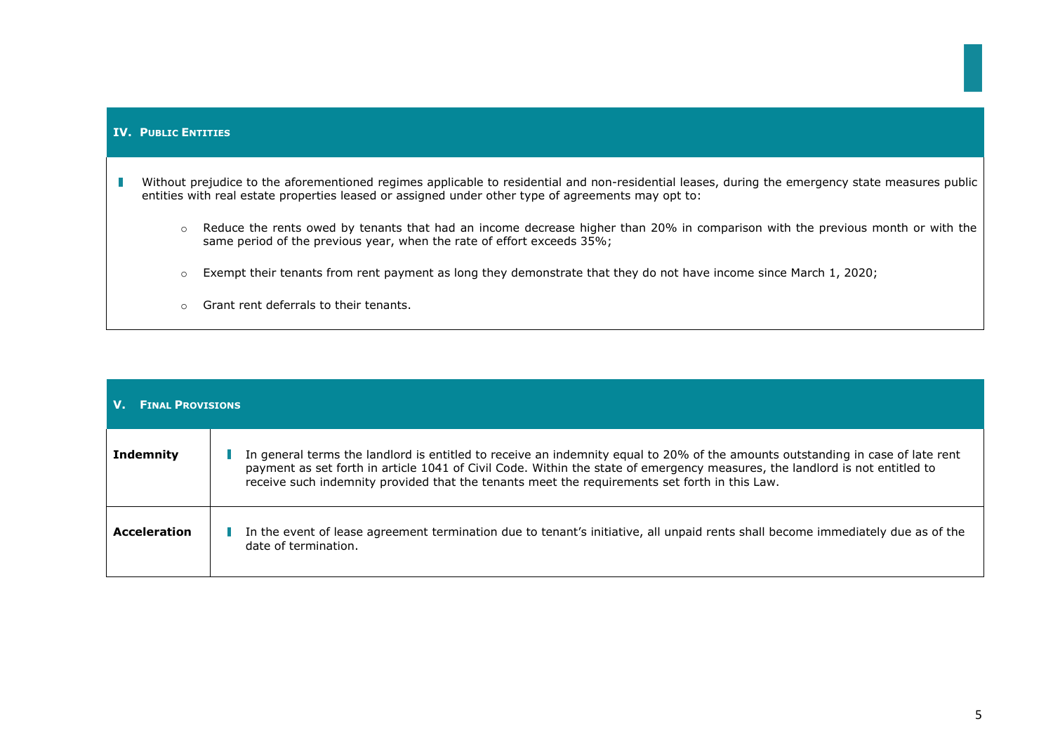| <b>IV. PUBLIC ENTITIES</b>                                                                                                                                                                                                                             |                                                                                                                                                                                                          |
|--------------------------------------------------------------------------------------------------------------------------------------------------------------------------------------------------------------------------------------------------------|----------------------------------------------------------------------------------------------------------------------------------------------------------------------------------------------------------|
| Without prejudice to the aforementioned regimes applicable to residential and non-residential leases, during the emergency state measures public<br>entities with real estate properties leased or assigned under other type of agreements may opt to: |                                                                                                                                                                                                          |
| $\circ$                                                                                                                                                                                                                                                | Reduce the rents owed by tenants that had an income decrease higher than 20% in comparison with the previous month or with the<br>same period of the previous year, when the rate of effort exceeds 35%; |
| $\circ$                                                                                                                                                                                                                                                | Exempt their tenants from rent payment as long they demonstrate that they do not have income since March 1, 2020;                                                                                        |
|                                                                                                                                                                                                                                                        | Grant rent deferrals to their tenants.                                                                                                                                                                   |

| <b>FINAL PROVISIONS</b> |                                                                                                                                                                                                                                                                                                                                                                |  |
|-------------------------|----------------------------------------------------------------------------------------------------------------------------------------------------------------------------------------------------------------------------------------------------------------------------------------------------------------------------------------------------------------|--|
| <b>Indemnity</b>        | In general terms the landlord is entitled to receive an indemnity equal to 20% of the amounts outstanding in case of late rent<br>payment as set forth in article 1041 of Civil Code. Within the state of emergency measures, the landlord is not entitled to<br>receive such indemnity provided that the tenants meet the requirements set forth in this Law. |  |
| <b>Acceleration</b>     | In the event of lease agreement termination due to tenant's initiative, all unpaid rents shall become immediately due as of the<br>date of termination.                                                                                                                                                                                                        |  |